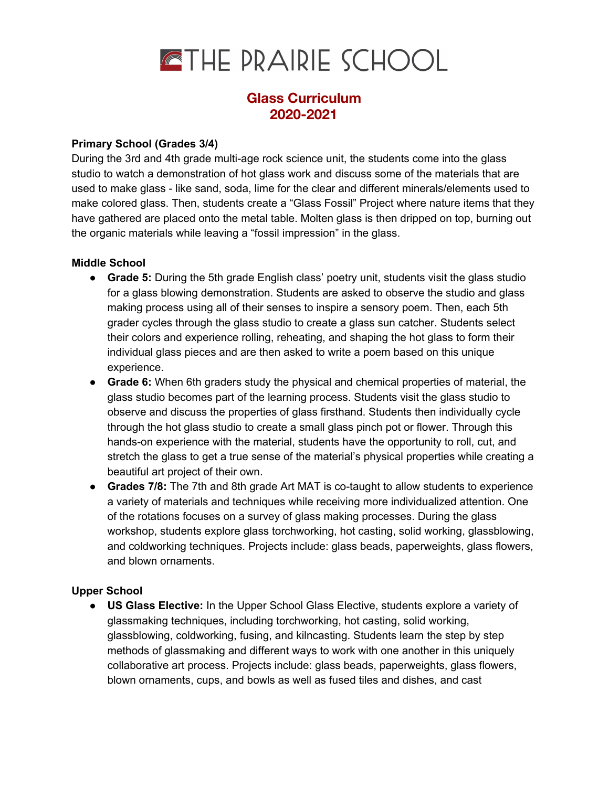

## **Glass Curriculum 2020-2021**

## **Primary School (Grades 3/4)**

During the 3rd and 4th grade multi-age rock science unit, the students come into the glass studio to watch a demonstration of hot glass work and discuss some of the materials that are used to make glass - like sand, soda, lime for the clear and different minerals/elements used to make colored glass. Then, students create a "Glass Fossil" Project where nature items that they have gathered are placed onto the metal table. Molten glass is then dripped on top, burning out the organic materials while leaving a "fossil impression" in the glass.

## **Middle School**

- **● Grade 5:** During the 5th grade English class' poetry unit, students visit the glass studio for a glass blowing demonstration. Students are asked to observe the studio and glass making process using all of their senses to inspire a sensory poem. Then, each 5th grader cycles through the glass studio to create a glass sun catcher. Students select their colors and experience rolling, reheating, and shaping the hot glass to form their individual glass pieces and are then asked to write a poem based on this unique experience.
- **Grade 6:** When 6th graders study the physical and chemical properties of material, the glass studio becomes part of the learning process. Students visit the glass studio to observe and discuss the properties of glass firsthand. Students then individually cycle through the hot glass studio to create a small glass pinch pot or flower. Through this hands-on experience with the material, students have the opportunity to roll, cut, and stretch the glass to get a true sense of the material's physical properties while creating a beautiful art project of their own.
- **Grades 7/8:** The 7th and 8th grade Art MAT is co-taught to allow students to experience a variety of materials and techniques while receiving more individualized attention. One of the rotations focuses on a survey of glass making processes. During the glass workshop, students explore glass torchworking, hot casting, solid working, glassblowing, and coldworking techniques. Projects include: glass beads, paperweights, glass flowers, and blown ornaments.

## **Upper School**

**● US Glass Elective:** In the Upper School Glass Elective, students explore a variety of glassmaking techniques, including torchworking, hot casting, solid working, glassblowing, coldworking, fusing, and kilncasting. Students learn the step by step methods of glassmaking and different ways to work with one another in this uniquely collaborative art process. Projects include: glass beads, paperweights, glass flowers, blown ornaments, cups, and bowls as well as fused tiles and dishes, and cast